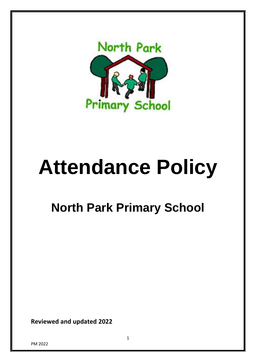

# **Attendance Policy**

# **North Park Primary School**

**Reviewed and updated 2022**

PM 2022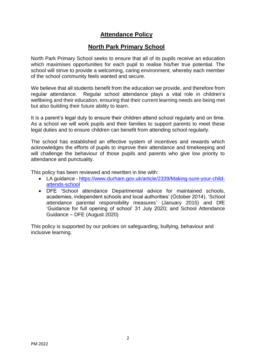# **Attendance Policy**

# **North Park Primary School**

North Park Primary School seeks to ensure that all of its pupils receive an education which maximises opportunities for each pupil to realise his/her true potential. The school will strive to provide a welcoming, caring environment, whereby each member of the school community feels wanted and secure.

We believe that all students benefit from the education we provide, and therefore from regular attendance. Regular school attendance plays a vital role in children's wellbeing and their education, ensuring that their current learning needs are being met but also building their future ability to learn.

It is a parent's legal duty to ensure their children attend school regularly and on time. As a school we will work pupils and their families to support parents to meet these legal duties and to ensure children can benefit from attending school regularly.

The school has established an effective system of incentives and rewards which acknowledges the efforts of pupils to improve their attendance and timekeeping and will challenge the behaviour of those pupils and parents who give low priority to attendance and punctuality.

This policy has been reviewed and rewritten in line with:

- LA guidance [https://www.durham.gov.uk/article/2339/Making-sure-your-child](https://www.durham.gov.uk/article/2339/Making-sure-your-child-attends-school)[attends-school](https://www.durham.gov.uk/article/2339/Making-sure-your-child-attends-school)
- DFE 'School attendance Departmental advice for maintained schools, academies, independent schools and local authorities' (October 2014), 'School attendance parental responsibility measures' (January 2015) and DfE 'Guidance for full opening of school' 31 July 2020; and School Attendance Guidance – DFE (August 2020)

This policy is supported by our policies on safeguarding, bullying, behaviour and inclusive learning.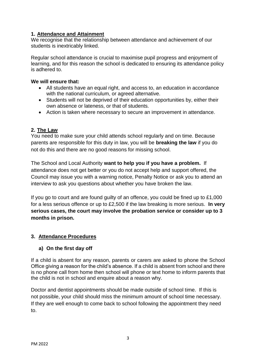#### **1. Attendance and Attainment**

We recognise that the relationship between attendance and achievement of our students is inextricably linked.

Regular school attendance is crucial to maximise pupil progress and enjoyment of learning, and for this reason the school is dedicated to ensuring its attendance policy is adhered to.

#### **We will ensure that:**

- All students have an equal right, and access to, an education in accordance with the national curriculum, or agreed alternative.
- Students will not be deprived of their education opportunities by, either their own absence or lateness, or that of students.
- Action is taken where necessary to secure an improvement in attendance.

## **2. The Law**

You need to make sure your child attends school regularly and on time. Because parents are responsible for this duty in law, you will be **breaking the law** if you do not do this and there are no good reasons for missing school.

The School and Local Authority **want to help you if you have a problem.** If attendance does not get better or you do not accept help and support offered, the Council may issue you with a warning notice, Penalty Notice or ask you to attend an interview to ask you questions about whether you have broken the law.

If you go to court and are found guilty of an offence, you could be fined up to £1,000 for a less serious offence or up to £2,500 if the law breaking is more serious. **In very serious cases, the court may involve the probation service or consider up to 3 months in prison.**

#### **3. Attendance Procedures**

#### **a) On the first day off**

If a child is absent for any reason, parents or carers are asked to phone the School Office giving a reason for the child's absence. If a child is absent from school and there is no phone call from home then school will phone or text home to inform parents that the child is not in school and enquire about a reason why.

Doctor and dentist appointments should be made outside of school time. If this is not possible, your child should miss the minimum amount of school time necessary. If they are well enough to come back to school following the appointment they need to.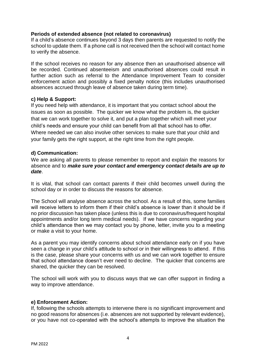#### **Periods of extended absence (not related to coronavirus)**

If a child's absence continues beyond 3 days then parents are requested to notify the school to update them. If a phone call is not received then the school will contact home to verify the absence.

If the school receives no reason for any absence then an unauthorised absence will be recorded. Continued absenteeism and unauthorised absences could result in further action such as referral to the Attendance Improvement Team to consider enforcement action and possibly a fixed penalty notice (this includes unauthorised absences accrued through leave of absence taken during term time).

#### **c) Help & Support:**

If you need help with attendance, it is important that you contact school about the issues as soon as possible. The quicker we know what the problem is, the quicker that we can work together to solve it, and put a plan together which will meet your child's needs and ensure your child can benefit from all that school has to offer. Where needed we can also involve other services to make sure that your child and your family gets the right support, at the right time from the right people.

#### **d) Communication:**

We are asking all parents to please remember to report and explain the reasons for absence and to *make sure your contact and emergency contact details are up to date*.

It is vital, that school can contact parents if their child becomes unwell during the school day or in order to discuss the reasons for absence.

The School will analyse absence across the school. As a result of this, some families will receive letters to inform them if their child's absence is lower than it should be if no prior discussion has taken place (unless this is due to coronavirus/frequent hospital appointments and/or long term medical needs). If we have concerns regarding your child's attendance then we may contact you by phone, letter, invite you to a meeting or make a visit to your home.

As a parent you may identify concerns about school attendance early on if you have seen a change in your child's attitude to school or in their willingness to attend. If this is the case, please share your concerns with us and we can work together to ensure that school attendance doesn't ever need to decline. The quicker that concerns are shared, the quicker they can be resolved.

The school will work with you to discuss ways that we can offer support in finding a way to improve attendance.

#### **e) Enforcement Action:**

If, following the schools attempts to intervene there is no significant improvement and no good reasons for absences (i.e. absences are not supported by relevant evidence), or you have not co-operated with the school's attempts to improve the situation the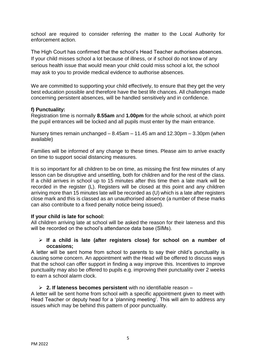school are required to consider referring the matter to the Local Authority for enforcement action.

The High Court has confirmed that the school's Head Teacher authorises absences. If your child misses school a lot because of illness, or if school do not know of any serious health issue that would mean your child could miss school a lot, the school may ask to you to provide medical evidence to authorise absences.

We are committed to supporting your child effectively, to ensure that they get the very best education possible and therefore have the best life chances. All challenges made concerning persistent absences, will be handled sensitively and in confidence.

#### **f) Punctuality:**

Registration time is normally **8.55am** and **1.00pm** for the whole school, at which point the pupil entrances will be locked and all pupils must enter by the main entrance.

Nursery times remain unchanged – 8.45am – 11.45 am and 12.30pm – 3.30pm (when available)

Families will be informed of any change to these times. Please aim to arrive exactly on time to support social distancing measures.

It is so important for all children to be on time, as missing the first few minutes of any lesson can be disruptive and unsettling, both for children and for the rest of the class. If a child arrives in school up to 15 minutes after this time then a late mark will be recorded in the register (L). Registers will be closed at this point and any children arriving more than 15 minutes late will be recorded as (U) which is a late after registers close mark and this is classed as an unauthorised absence (a number of these marks can also contribute to a fixed penalty notice being issued).

#### **If your child is late for school:**

All children arriving late at school will be asked the reason for their lateness and this will be recorded on the school's attendance data base (SIMs).

#### ➢ **If a child is late (after registers close) for school on a number of occasions;**

A letter will be sent home from school to parents to say their child's punctuality is causing some concern. An appointment with the Head will be offered to discuss ways that the school can offer support in finding a way improve this. Incentives to improve punctuality may also be offered to pupils e.g. improving their punctuality over 2 weeks to earn a school alarm clock.

#### ➢ **2. If lateness becomes persistent** with no identifiable reason –

A letter will be sent home from school with a specific appointment given to meet with Head Teacher or deputy head for a 'planning meeting'. This will aim to address any issues which may be behind this pattern of poor punctuality.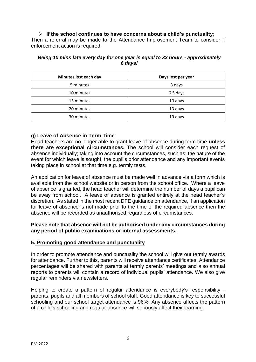#### ➢ **If the school continues to have concerns about a child's punctuality;**

Then a referral may be made to the Attendance Improvement Team to consider if enforcement action is required.

| Minutes lost each day | Days lost per year |
|-----------------------|--------------------|
| 5 minutes             | 3 days             |
| 10 minutes            | 6.5 days           |
| 15 minutes            | 10 days            |
| 20 minutes            | 13 days            |
| 30 minutes            | 19 days            |

#### *Being 10 mins late every day for one year is equal to 33 hours - approximately 6 days!*

#### **g) Leave of Absence in Term Time**

Head teachers are no longer able to grant leave of absence during term time **unless there are exceptional circumstances.** The school will consider each request of absence individually; taking into account the circumstances, such as; the nature of the event for which leave is sought, the pupil's prior attendance and any important events taking place in school at that time e.g. termly tests.

An application for leave of absence must be made well in advance via a form which is available from the school website or in person from the school office. Where a leave of absence is granted, the head teacher will determine the number of days a pupil can be away from school. A leave of absence is granted entirely at the head teacher's discretion. As stated in the most recent DFE guidance on attendance, if an application for leave of absence is not made prior to the time of the required absence then the absence will be recorded as unauthorised regardless of circumstances.

#### **Please note that absence will not be authorised under any circumstances during any period of public examinations or internal assessments.**

#### **5. Promoting good attendance and punctuality**

In order to promote attendance and punctuality the school will give out termly awards for attendance. Further to this, parents will receive attendance certificates. Attendance percentages will be shared with parents at termly parents' meetings and also annual reports to parents will contain a record of individual pupils' attendance. We also give regular reminders via newsletters.

Helping to create a pattern of regular attendance is everybody's responsibility parents, pupils and all members of school staff. Good attendance is key to successful schooling and our school target attendance is 96%. Any absence affects the pattern of a child's schooling and regular absence will seriously affect their learning.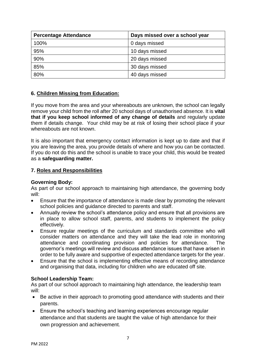| <b>Percentage Attendance</b> | Days missed over a school year |
|------------------------------|--------------------------------|
| 100%                         | 0 days missed                  |
| 95%                          | 10 days missed                 |
| 90%                          | 20 days missed                 |
| 85%                          | 30 days missed                 |
| 80%                          | 40 days missed                 |

## **6. Children Missing from Education:**

If you move from the area and your whereabouts are unknown, the school can legally remove your child from the roll after 20 school days of unauthorised absence. It is **vital that if you keep school informed of any change of details** and regularly update them if details change. Your child may be at risk of losing their school place if your whereabouts are not known.

It is also important that emergency contact information is kept up to date and that if you are leaving the area, you provide details of where and how you can be contacted. If you do not do this and the school is unable to trace your child, this would be treated as a **safeguarding matter.**

#### **7. Roles and Responsibilities**

#### **Governing Body:**

As part of our school approach to maintaining high attendance, the governing body will:

- Ensure that the importance of attendance is made clear by promoting the relevant school policies and guidance directed to parents and staff.
- Annually review the school's attendance policy and ensure that all provisions are in place to allow school staff, parents, and students to implement the policy effectively.
- Ensure regular meetings of the curriculum and standards committee who will consider matters on attendance and they will take the lead role in monitoring attendance and coordinating provision and policies for attendance. The governor's meetings will review and discuss attendance issues that have arisen in order to be fully aware and supportive of expected attendance targets for the year.
- Ensure that the school is implementing effective means of recording attendance and organising that data, including for children who are educated off site.

#### **School Leadership Team:**

As part of our school approach to maintaining high attendance, the leadership team will:

- Be active in their approach to promoting good attendance with students and their parents.
- Ensure the school's teaching and learning experiences encourage regular attendance and that students are taught the value of high attendance for their own progression and achievement.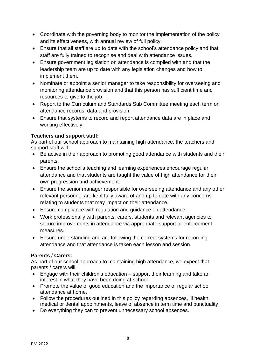- Coordinate with the governing body to monitor the implementation of the policy and its effectiveness, with annual review of full policy.
- Ensure that all staff are up to date with the school's attendance policy and that staff are fully trained to recognise and deal with attendance issues.
- Ensure government legislation on attendance is complied with and that the leadership team are up to date with any legislation changes and how to implement them.
- Nominate or appoint a senior manager to take responsibility for overseeing and monitoring attendance provision and that this person has sufficient time and resources to give to the job.
- Report to the Curriculum and Standards Sub Committee meeting each term on attendance records, data and provision.
- Ensure that systems to record and report attendance data are in place and working effectively.

#### **Teachers and support staff:**

As part of our school approach to maintaining high attendance, the teachers and support staff will:

- Be active in their approach to promoting good attendance with students and their parents.
- Ensure the school's teaching and learning experiences encourage regular attendance and that students are taught the value of high attendance for their own progression and achievement.
- Ensure the senior manager responsible for overseeing attendance and any other relevant personnel are kept fully aware of and up to date with any concerns relating to students that may impact on their attendance.
- Ensure compliance with regulation and guidance on attendance.
- Work professionally with parents, carers, students and relevant agencies to secure improvements in attendance via appropriate support or enforcement measures.
- Ensure understanding and are following the correct systems for recording attendance and that attendance is taken each lesson and session.

# **Parents / Carers:**

As part of our school approach to maintaining high attendance, we expect that parents / carers will:

- Engage with their children's education support their learning and take an interest in what they have been doing at school.
- Promote the value of good education and the importance of regular school attendance at home.
- Follow the procedures outlined in this policy regarding absences, ill health, medical or dental appointments, leave of absence in term time and punctuality.
- Do everything they can to prevent unnecessary school absences.